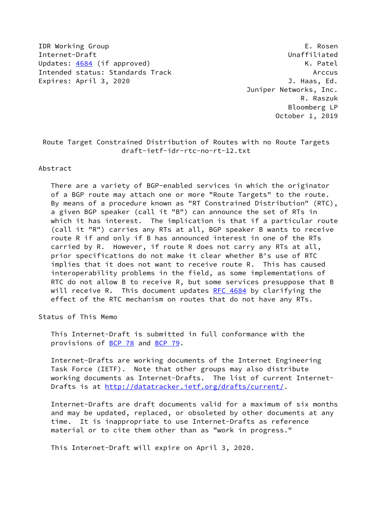IDR Working Group E. Rosen Internet-Draft **Unaffiliated** Updates: [4684](https://datatracker.ietf.org/doc/pdf/rfc4684) (if approved) Contract Contract Contract Contract Contract Contract Contract Contract Contract Contract Contract Contract Contract Contract Contract Contract Contract Contract Contract Contract Contract Contr Intended status: Standards Track Arccus Expires: April 3, 2020 J. Haas, Ed.

 Juniper Networks, Inc. R. Raszuk Bloomberg LP October 1, 2019

## Route Target Constrained Distribution of Routes with no Route Targets draft-ietf-idr-rtc-no-rt-12.txt

## Abstract

 There are a variety of BGP-enabled services in which the originator of a BGP route may attach one or more "Route Targets" to the route. By means of a procedure known as "RT Constrained Distribution" (RTC), a given BGP speaker (call it "B") can announce the set of RTs in which it has interest. The implication is that if a particular route (call it "R") carries any RTs at all, BGP speaker B wants to receive route R if and only if B has announced interest in one of the RTs carried by R. However, if route R does not carry any RTs at all, prior specifications do not make it clear whether B's use of RTC implies that it does not want to receive route R. This has caused interoperability problems in the field, as some implementations of RTC do not allow B to receive R, but some services presuppose that B will receive R. This document updates RFC  $4684$  by clarifying the effect of the RTC mechanism on routes that do not have any RTs.

Status of This Memo

 This Internet-Draft is submitted in full conformance with the provisions of [BCP 78](https://datatracker.ietf.org/doc/pdf/bcp78) and [BCP 79](https://datatracker.ietf.org/doc/pdf/bcp79).

 Internet-Drafts are working documents of the Internet Engineering Task Force (IETF). Note that other groups may also distribute working documents as Internet-Drafts. The list of current Internet Drafts is at<http://datatracker.ietf.org/drafts/current/>.

 Internet-Drafts are draft documents valid for a maximum of six months and may be updated, replaced, or obsoleted by other documents at any time. It is inappropriate to use Internet-Drafts as reference material or to cite them other than as "work in progress."

This Internet-Draft will expire on April 3, 2020.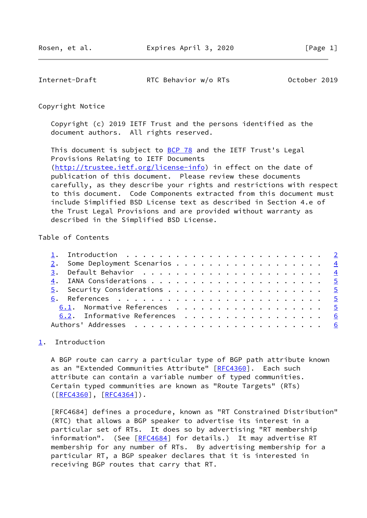<span id="page-1-1"></span>Internet-Draft RTC Behavior w/o RTs October 2019

Copyright Notice

 Copyright (c) 2019 IETF Trust and the persons identified as the document authors. All rights reserved.

This document is subject to **[BCP 78](https://datatracker.ietf.org/doc/pdf/bcp78)** and the IETF Trust's Legal Provisions Relating to IETF Documents [\(http://trustee.ietf.org/license-info](http://trustee.ietf.org/license-info)) in effect on the date of publication of this document. Please review these documents carefully, as they describe your rights and restrictions with respect to this document. Code Components extracted from this document must include Simplified BSD License text as described in Section 4.e of the Trust Legal Provisions and are provided without warranty as described in the Simplified BSD License.

## Table of Contents

|  | 2. Some Deployment Scenarios 4 |  |
|--|--------------------------------|--|
|  |                                |  |
|  |                                |  |
|  |                                |  |
|  |                                |  |
|  | 6.1. Normative References 5    |  |
|  | 6.2. Informative References 6  |  |
|  |                                |  |

## <span id="page-1-0"></span>[1](#page-1-0). Introduction

 A BGP route can carry a particular type of BGP path attribute known as an "Extended Communities Attribute" [\[RFC4360](https://datatracker.ietf.org/doc/pdf/rfc4360)]. Each such attribute can contain a variable number of typed communities. Certain typed communities are known as "Route Targets" (RTs)  $([RFC4360], [RFC4364]).$  $([RFC4360], [RFC4364]).$  $([RFC4360], [RFC4364]).$  $([RFC4360], [RFC4364]).$  $([RFC4360], [RFC4364]).$ 

 [RFC4684] defines a procedure, known as "RT Constrained Distribution" (RTC) that allows a BGP speaker to advertise its interest in a particular set of RTs. It does so by advertising "RT membership information". (See [\[RFC4684](https://datatracker.ietf.org/doc/pdf/rfc4684)] for details.) It may advertise RT membership for any number of RTs. By advertising membership for a particular RT, a BGP speaker declares that it is interested in receiving BGP routes that carry that RT.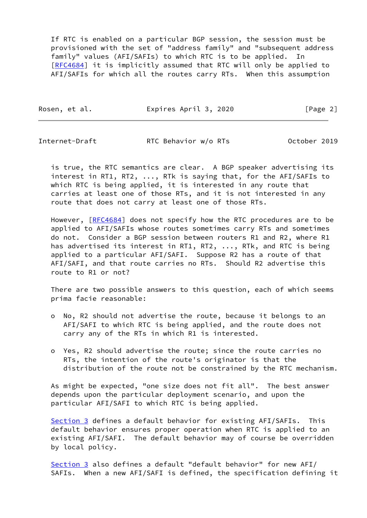If RTC is enabled on a particular BGP session, the session must be provisioned with the set of "address family" and "subsequent address family" values (AFI/SAFIs) to which RTC is to be applied. In [\[RFC4684](https://datatracker.ietf.org/doc/pdf/rfc4684)] it is implicitly assumed that RTC will only be applied to AFI/SAFIs for which all the routes carry RTs. When this assumption

Rosen, et al. **Expires April 3, 2020** [Page 2]

Internet-Draft RTC Behavior w/o RTs October 2019

 is true, the RTC semantics are clear. A BGP speaker advertising its interest in RT1, RT2, ..., RTk is saying that, for the AFI/SAFIs to which RTC is being applied, it is interested in any route that carries at least one of those RTs, and it is not interested in any route that does not carry at least one of those RTs.

However, [\[RFC4684](https://datatracker.ietf.org/doc/pdf/rfc4684)] does not specify how the RTC procedures are to be applied to AFI/SAFIs whose routes sometimes carry RTs and sometimes do not. Consider a BGP session between routers R1 and R2, where R1 has advertised its interest in RT1, RT2, ..., RTk, and RTC is being applied to a particular AFI/SAFI. Suppose R2 has a route of that AFI/SAFI, and that route carries no RTs. Should R2 advertise this route to R1 or not?

 There are two possible answers to this question, each of which seems prima facie reasonable:

- o No, R2 should not advertise the route, because it belongs to an AFI/SAFI to which RTC is being applied, and the route does not carry any of the RTs in which R1 is interested.
- o Yes, R2 should advertise the route; since the route carries no RTs, the intention of the route's originator is that the distribution of the route not be constrained by the RTC mechanism.

 As might be expected, "one size does not fit all". The best answer depends upon the particular deployment scenario, and upon the particular AFI/SAFI to which RTC is being applied.

[Section 3](#page-4-0) defines a default behavior for existing AFI/SAFIs. This default behavior ensures proper operation when RTC is applied to an existing AFI/SAFI. The default behavior may of course be overridden by local policy.

 [Section 3](#page-4-0) also defines a default "default behavior" for new AFI/ SAFIs. When a new AFI/SAFI is defined, the specification defining it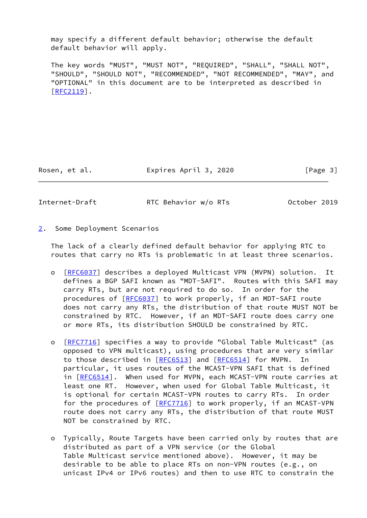may specify a different default behavior; otherwise the default default behavior will apply.

 The key words "MUST", "MUST NOT", "REQUIRED", "SHALL", "SHALL NOT", "SHOULD", "SHOULD NOT", "RECOMMENDED", "NOT RECOMMENDED", "MAY", and "OPTIONAL" in this document are to be interpreted as described in [\[RFC2119](https://datatracker.ietf.org/doc/pdf/rfc2119)].

Rosen, et al. Expires April 3, 2020 [Page 3]

<span id="page-3-1"></span>

Internet-Draft RTC Behavior w/o RTs October 2019

<span id="page-3-0"></span>[2](#page-3-0). Some Deployment Scenarios

 The lack of a clearly defined default behavior for applying RTC to routes that carry no RTs is problematic in at least three scenarios.

- o [[RFC6037\]](https://datatracker.ietf.org/doc/pdf/rfc6037) describes a deployed Multicast VPN (MVPN) solution. It defines a BGP SAFI known as "MDT-SAFI". Routes with this SAFI may carry RTs, but are not required to do so. In order for the procedures of [\[RFC6037](https://datatracker.ietf.org/doc/pdf/rfc6037)] to work properly, if an MDT-SAFI route does not carry any RTs, the distribution of that route MUST NOT be constrained by RTC. However, if an MDT-SAFI route does carry one or more RTs, its distribution SHOULD be constrained by RTC.
- o [[RFC7716\]](https://datatracker.ietf.org/doc/pdf/rfc7716) specifies a way to provide "Global Table Multicast" (as opposed to VPN multicast), using procedures that are very similar to those described in [\[RFC6513](https://datatracker.ietf.org/doc/pdf/rfc6513)] and [\[RFC6514](https://datatracker.ietf.org/doc/pdf/rfc6514)] for MVPN. In particular, it uses routes of the MCAST-VPN SAFI that is defined in [[RFC6514](https://datatracker.ietf.org/doc/pdf/rfc6514)]. When used for MVPN, each MCAST-VPN route carries at least one RT. However, when used for Global Table Multicast, it is optional for certain MCAST-VPN routes to carry RTs. In order for the procedures of [\[RFC7716](https://datatracker.ietf.org/doc/pdf/rfc7716)] to work properly, if an MCAST-VPN route does not carry any RTs, the distribution of that route MUST NOT be constrained by RTC.
- o Typically, Route Targets have been carried only by routes that are distributed as part of a VPN service (or the Global Table Multicast service mentioned above). However, it may be desirable to be able to place RTs on non-VPN routes (e.g., on unicast IPv4 or IPv6 routes) and then to use RTC to constrain the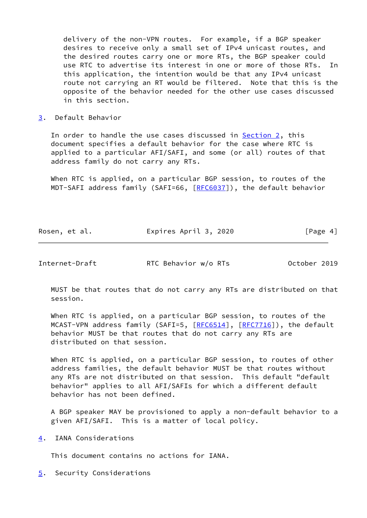delivery of the non-VPN routes. For example, if a BGP speaker desires to receive only a small set of IPv4 unicast routes, and the desired routes carry one or more RTs, the BGP speaker could use RTC to advertise its interest in one or more of those RTs. In this application, the intention would be that any IPv4 unicast route not carrying an RT would be filtered. Note that this is the opposite of the behavior needed for the other use cases discussed in this section.

<span id="page-4-0"></span>[3](#page-4-0). Default Behavior

In order to handle the use cases discussed in [Section 2,](#page-3-0) this document specifies a default behavior for the case where RTC is applied to a particular AFI/SAFI, and some (or all) routes of that address family do not carry any RTs.

 When RTC is applied, on a particular BGP session, to routes of the MDT-SAFI address family (SAFI=66, [[RFC6037](https://datatracker.ietf.org/doc/pdf/rfc6037)]), the default behavior

| Rosen, et al. | Expires April 3, 2020 | [Page 4] |
|---------------|-----------------------|----------|
|               |                       |          |

<span id="page-4-2"></span>Internet-Draft RTC Behavior w/o RTs October 2019

 MUST be that routes that do not carry any RTs are distributed on that session.

 When RTC is applied, on a particular BGP session, to routes of the MCAST-VPN address family (SAFI=5, [[RFC6514](https://datatracker.ietf.org/doc/pdf/rfc6514)], [\[RFC7716](https://datatracker.ietf.org/doc/pdf/rfc7716)]), the default behavior MUST be that routes that do not carry any RTs are distributed on that session.

 When RTC is applied, on a particular BGP session, to routes of other address families, the default behavior MUST be that routes without any RTs are not distributed on that session. This default "default behavior" applies to all AFI/SAFIs for which a different default behavior has not been defined.

 A BGP speaker MAY be provisioned to apply a non-default behavior to a given AFI/SAFI. This is a matter of local policy.

<span id="page-4-1"></span>[4](#page-4-1). IANA Considerations

This document contains no actions for IANA.

<span id="page-4-3"></span>[5](#page-4-3). Security Considerations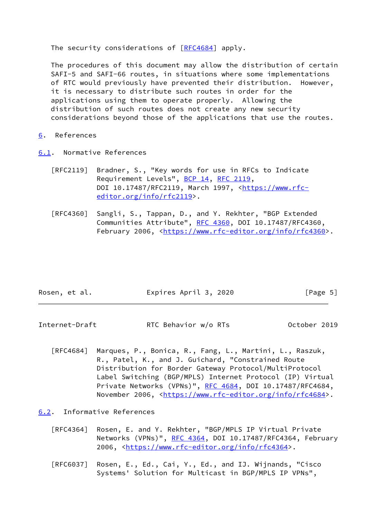The security considerations of  $[REC4684]$  apply.

 The procedures of this document may allow the distribution of certain SAFI-5 and SAFI-66 routes, in situations where some implementations of RTC would previously have prevented their distribution. However, it is necessary to distribute such routes in order for the applications using them to operate properly. Allowing the distribution of such routes does not create any new security considerations beyond those of the applications that use the routes.

- <span id="page-5-0"></span>[6](#page-5-0). References
- <span id="page-5-1"></span>[6.1](#page-5-1). Normative References
	- [RFC2119] Bradner, S., "Key words for use in RFCs to Indicate Requirement Levels", [BCP 14](https://datatracker.ietf.org/doc/pdf/bcp14), [RFC 2119](https://datatracker.ietf.org/doc/pdf/rfc2119), DOI 10.17487/RFC2119, March 1997, [<https://www.rfc](https://www.rfc-editor.org/info/rfc2119) [editor.org/info/rfc2119](https://www.rfc-editor.org/info/rfc2119)>.
	- [RFC4360] Sangli, S., Tappan, D., and Y. Rekhter, "BGP Extended Communities Attribute", [RFC 4360,](https://datatracker.ietf.org/doc/pdf/rfc4360) DOI 10.17487/RFC4360, February 2006, <<https://www.rfc-editor.org/info/rfc4360>>.

| Rosen, et al. | Expires April 3, 2020 | [Page 5] |
|---------------|-----------------------|----------|
|               |                       |          |

<span id="page-5-3"></span>Internet-Draft RTC Behavior w/o RTs October 2019

 [RFC4684] Marques, P., Bonica, R., Fang, L., Martini, L., Raszuk, R., Patel, K., and J. Guichard, "Constrained Route Distribution for Border Gateway Protocol/MultiProtocol Label Switching (BGP/MPLS) Internet Protocol (IP) Virtual Private Networks (VPNs)", [RFC 4684](https://datatracker.ietf.org/doc/pdf/rfc4684), DOI 10.17487/RFC4684, November 2006, <<https://www.rfc-editor.org/info/rfc4684>>.

<span id="page-5-2"></span>[6.2](#page-5-2). Informative References

- [RFC4364] Rosen, E. and Y. Rekhter, "BGP/MPLS IP Virtual Private Networks (VPNs)", [RFC 4364](https://datatracker.ietf.org/doc/pdf/rfc4364), DOI 10.17487/RFC4364, February 2006, [<https://www.rfc-editor.org/info/rfc4364](https://www.rfc-editor.org/info/rfc4364)>.
- [RFC6037] Rosen, E., Ed., Cai, Y., Ed., and IJ. Wijnands, "Cisco Systems' Solution for Multicast in BGP/MPLS IP VPNs",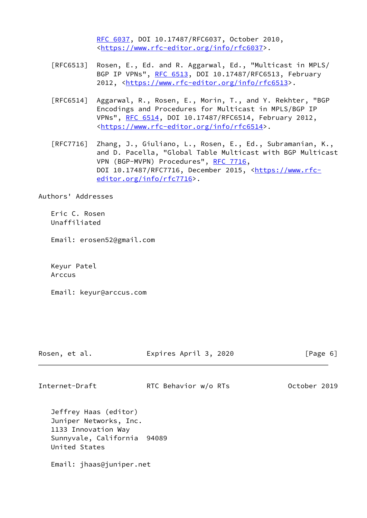[RFC 6037,](https://datatracker.ietf.org/doc/pdf/rfc6037) DOI 10.17487/RFC6037, October 2010, <[https://www.rfc-editor.org/info/rfc6037>](https://www.rfc-editor.org/info/rfc6037).

- [RFC6513] Rosen, E., Ed. and R. Aggarwal, Ed., "Multicast in MPLS/ BGP IP VPNs", [RFC 6513](https://datatracker.ietf.org/doc/pdf/rfc6513), DOI 10.17487/RFC6513, February 2012, [<https://www.rfc-editor.org/info/rfc6513](https://www.rfc-editor.org/info/rfc6513)>.
- [RFC6514] Aggarwal, R., Rosen, E., Morin, T., and Y. Rekhter, "BGP Encodings and Procedures for Multicast in MPLS/BGP IP VPNs", [RFC 6514](https://datatracker.ietf.org/doc/pdf/rfc6514), DOI 10.17487/RFC6514, February 2012, <[https://www.rfc-editor.org/info/rfc6514>](https://www.rfc-editor.org/info/rfc6514).
- [RFC7716] Zhang, J., Giuliano, L., Rosen, E., Ed., Subramanian, K., and D. Pacella, "Global Table Multicast with BGP Multicast VPN (BGP-MVPN) Procedures", [RFC 7716,](https://datatracker.ietf.org/doc/pdf/rfc7716) DOI 10.17487/RFC7716, December 2015, [<https://www.rfc](https://www.rfc-editor.org/info/rfc7716) [editor.org/info/rfc7716](https://www.rfc-editor.org/info/rfc7716)>.

Authors' Addresses

 Eric C. Rosen Unaffiliated

Email: erosen52@gmail.com

 Keyur Patel Arccus

Email: keyur@arccus.com

| Rosen, |  | et al. |
|--------|--|--------|
|--------|--|--------|

Expires April 3, 2020 [Page 6]

Internet-Draft RTC Behavior w/o RTs October 2019

 Jeffrey Haas (editor) Juniper Networks, Inc. 1133 Innovation Way Sunnyvale, California 94089 United States

Email: jhaas@juniper.net